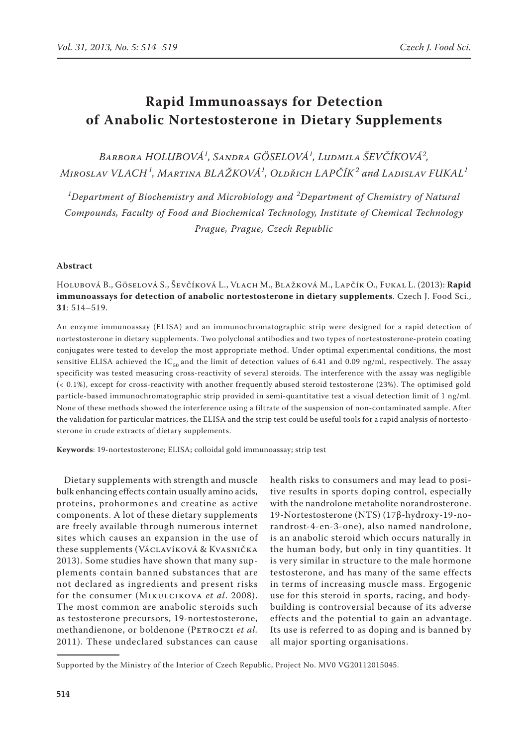# **Rapid Immunoassays for Detection of Anabolic Nortestosterone in Dietary Supplements**

*Barbora HOLUBOVÁ<sup>1</sup> , Sandra GÖSELOVÁ<sup>1</sup> , Ludmila ŠEVČÍKOVÁ<sup>2</sup> , Miroslav VLACH <sup>1</sup> , Martina BLAŽKOVÁ<sup>1</sup> , Oldřich LAPČÍK<sup>2</sup> and Ladislav FUKAL<sup>1</sup>*

*1 Department of Biochemistry and Microbiology and <sup>2</sup> Department of Chemistry of Natural Compounds, Faculty of Food and Biochemical Technology, Institute of Chemical Technology Prague, Prague, Czech Republic*

## **Abstract**

## Holubová B., Göselová S., Ševčíková L., Vlach M., Blažková M., Lapčík O., Fukal L. (2013): **Rapid immunoassays for detection of anabolic nortestosterone in dietary supplements**. Czech J. Food Sci., **31**: 514–519.

An enzyme immunoassay (ELISA) and an immunochromatographic strip were designed for a rapid detection of nortestosterone in dietary supplements. Two polyclonal antibodies and two types of nortestosterone-protein coating conjugates were tested to develop the most appropriate method. Under optimal experimental conditions, the most sensitive ELISA achieved the  $IC_{50}$  and the limit of detection values of 6.41 and 0.09 ng/ml, respectively. The assay specificity was tested measuring cross-reactivity of several steroids. The interference with the assay was negligible (< 0.1%), except for cross-reactivity with another frequently abused steroid testosterone (23%). The optimised gold particle-based immunochromatographic strip provided in semi-quantitative test a visual detection limit of 1 ng/ml. None of these methods showed the interference using a filtrate of the suspension of non-contaminated sample. After the validation for particular matrices, the ELISA and the strip test could be useful tools for a rapid analysis of nortestosterone in crude extracts of dietary supplements.

**Keywords**: 19-nortestosterone; ELISA; colloidal gold immunoassay; strip test

Dietary supplements with strength and muscle bulk enhancing effects contain usually amino acids, proteins, prohormones and creatine as active components. A lot of these dietary supplements are freely available through numerous internet sites which causes an expansion in the use of these supplements (Václavíková & Kvasnička 2013). Some studies have shown that many supplements contain banned substances that are not declared as ingredients and present risks for the consumer (Mikulcikova *et al*. 2008). The most common are anabolic steroids such as testosterone precursors, 19-nortestosterone, methandienone, or boldenone (PETROCZI et al. 2011). These undeclared substances can cause

health risks to consumers and may lead to positive results in sports doping control, especially with the nandrolone metabolite norandrosterone. 19-Nortestosterone (NTS) (17β-hydroxy-19-norandrost-4-en-3-one), also named nandrolone, is an anabolic steroid which occurs naturally in the human body, but only in tiny quantities. It is very similar in structure to the male hormone testosterone, and has many of the same effects in terms of increasing muscle mass. Ergogenic use for this steroid in sports, racing, and bodybuilding is controversial because of its adverse effects and the potential to gain an advantage. Its use is referred to as doping and is banned by all major sporting organisations.

Supported by the Ministry of the Interior of Czech Republic, Project No. MV0 VG20112015045*.*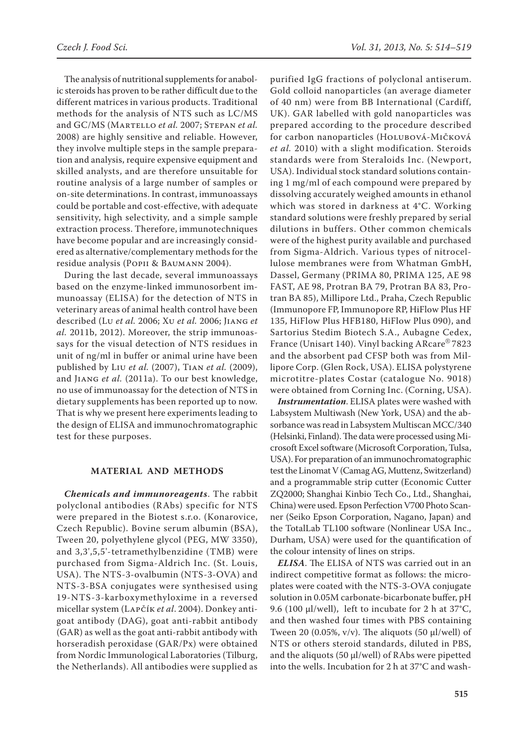The analysis of nutritional supplements for anabolic steroids has proven to be rather difficult due to the different matrices in various products. Traditional methods for the analysis of NTS such as LC/MS and GC/MS (Martello *et al.* 2007; Stepan *et al.* 2008) are highly sensitive and reliable. However, they involve multiple steps in the sample preparation and analysis, require expensive equipment and skilled analysts, and are therefore unsuitable for routine analysis of a large number of samples or on-site determinations. In contrast, immunoassays could be portable and cost-effective, with adequate sensitivity, high selectivity, and a simple sample extraction process. Therefore, immunotechniques have become popular and are increasingly considered as alternative/complementary methods for the residue analysis (Popii & Baumann 2004).

During the last decade, several immunoassays based on the enzyme-linked immunosorbent immunoassay (ELISA) for the detection of NTS in veterinary areas of animal health control have been described (Lu *et al.* 2006; Xu *et al.* 2006; Jiang *et al.* 2011b, 2012). Moreover, the strip immunoassays for the visual detection of NTS residues in unit of ng/ml in buffer or animal urine have been published by Liu *et al.* (2007), Tian *et al.* (2009), and Jiang *et al.* (2011a). To our best knowledge, no use of immunoassay for the detection of NTS in dietary supplements has been reported up to now. That is why we present here experiments leading to the design of ELISA and immunochromatographic test for these purposes.

## **MATERIAL AND METHODS**

*Chemicals and immunoreagents*. The rabbit polyclonal antibodies (RAbs) specific for NTS were prepared in the Biotest s.r.o. (Konarovice, Czech Republic). Bovine serum albumin (BSA), Tween 20, polyethylene glycol (PEG, MW 3350), and 3,3',5,5'-tetramethylbenzidine (TMB) were purchased from Sigma-Aldrich Inc. (St. Louis, USA). The NTS-3-ovalbumin (NTS-3-OVA) and NTS-3-BSA conjugates were synthesised using 19-NTS-3-karboxymethyloxime in a reversed micellar system (Lapčík *et al*. 2004). Donkey antigoat antibody (DAG), goat anti-rabbit antibody (GAR) as well as the goat anti-rabbit antibody with horseradish peroxidase (GAR/Px) were obtained from Nordic Immunological Laboratories (Tilburg, the Netherlands). All antibodies were supplied as

purified IgG fractions of polyclonal antiserum. Gold colloid nanoparticles (an average diameter of 40 nm) were from BB International (Cardiff, UK). GAR labelled with gold nanoparticles was prepared according to the procedure described for carbon nanoparticles (Holubová-Mičková *et al.* 2010) with a slight modification. Steroids standards were from Steraloids Inc. (Newport, USA). Individual stock standard solutions containing 1 mg/ml of each compound were prepared by dissolving accurately weighed amounts in ethanol which was stored in darkness at 4°C. Working standard solutions were freshly prepared by serial dilutions in buffers. Other common chemicals were of the highest purity available and purchased from Sigma-Aldrich. Various types of nitrocellulose membranes were from Whatman GmbH, Dassel, Germany (PRIMA 80, PRIMA 125, AE 98 FAST, AE 98, Protran BA 79, Protran BA 83, Protran BA 85), Millipore Ltd., Praha, Czech Republic (Immunopore FP, Immunopore RP, HiFlow Plus HF 135, HiFlow Plus HFB180, HiFlow Plus 090), and Sartorius Stedim Biotech S.A., Aubagne Cedex, France (Unisart 140). Vinyl backing ARcare® 7823 and the absorbent pad CFSP both was from Millipore Corp. (Glen Rock, USA). ELISA polystyrene microtitre-plates Costar (catalogue No. 9018) were obtained from Corning Inc. (Corning, USA).

*Instrumentation*. ELISA plates were washed with Labsystem Multiwash (New York, USA) and the absorbance was read in Labsystem Multiscan MCC/340 (Helsinki, Finland). The data were processed using Microsoft Excel software (Microsoft Corporation, Tulsa, USA). For preparation of an immunochromatographic test the Linomat V (Camag AG, Muttenz, Switzerland) and a programmable strip cutter (Economic Cutter ZQ2000; Shanghai Kinbio Tech Co., Ltd., Shanghai, China) were used. Epson Perfection V700 Photo Scanner (Seiko Epson Corporation, Nagano, Japan) and the TotalLab TL100 software (Nonlinear USA Inc., Durham, USA) were used for the quantification of the colour intensity of lines on strips.

*ELISA*. The ELISA of NTS was carried out in an indirect competitive format as follows: the microplates were coated with the NTS-3-OVA conjugate solution in 0.05M carbonate-bicarbonate buffer, pH 9.6 (100 µl/well), left to incubate for 2 h at 37°C, and then washed four times with PBS containing Tween 20 (0.05%,  $v/v$ ). The aliquots (50  $\mu$ l/well) of NTS or others steroid standards, diluted in PBS, and the aliquots (50  $\mu$ l/well) of RAbs were pipetted into the wells. Incubation for 2 h at 37°C and wash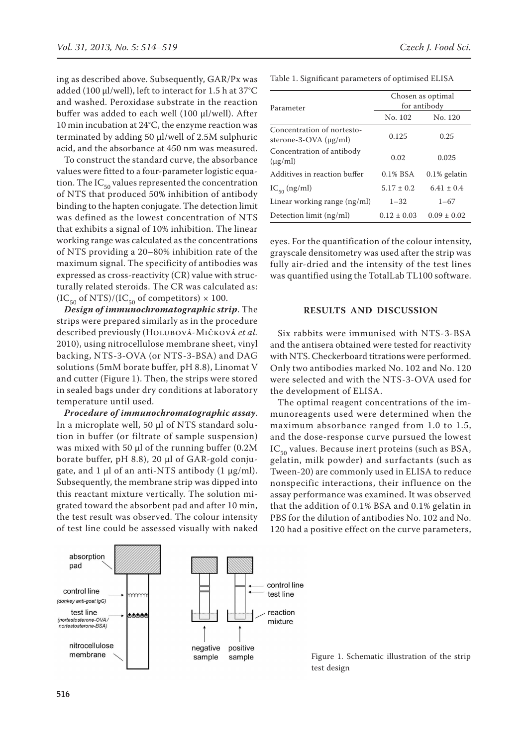ing as described above. Subsequently, GAR/Px was added (100 µl/well), left to interact for 1.5 h at 37°C and washed. Peroxidase substrate in the reaction buffer was added to each well (100 µl/well). After 10 min incubation at 24°C, the enzyme reaction was terminated by adding 50 µl/well of 2.5M sulphuric acid, and the absorbance at 450 nm was measured.

To construct the standard curve, the absorbance values were fitted to a four-parameter logistic equation. The  $IC_{50}$  values represented the concentration of NTS that produced 50% inhibition of antibody binding to the hapten conjugate. The detection limit was defined as the lowest concentration of NTS that exhibits a signal of 10% inhibition. The linear working range was calculated as the concentrations of NTS providing a 20–80% inhibition rate of the maximum signal. The specificity of antibodies was expressed as cross-reactivity (CR) value with structurally related steroids. The CR was calculated as:  $(IC_{50}$  of NTS)/(IC<sub>50</sub> of competitors) × 100.

*Design of immunochromatographic strip*. The strips were prepared similarly as in the procedure described previously (Holubová-Mičková *et al.* 2010), using nitrocellulose membrane sheet, vinyl backing, NTS-3-OVA (or NTS-3-BSA) and DAG solutions (5mM borate buffer, pH 8.8), Linomat V and cutter (Figure 1). Then, the strips were stored in sealed bags under dry conditions at laboratory temperature until used.

*Procedure of immunochromatographic assay*. In a microplate well, 50 µl of NTS standard solution in buffer (or filtrate of sample suspension) was mixed with 50 μl of the running buffer (0.2M borate buffer, pH 8.8), 20 µl of GAR-gold conjugate, and 1  $\mu$ l of an anti-NTS antibody (1  $\mu$ g/ml). Subsequently, the membrane strip was dipped into this reactant mixture vertically. The solution migrated toward the absorbent pad and after 10 min, the test result was observed. The colour intensity of test line could be assessed visually with naked Table 1. Significant parameters of optimised ELISA

| Parameter                                                | Chosen as optimal<br>for antibody |                 |  |
|----------------------------------------------------------|-----------------------------------|-----------------|--|
|                                                          | No. 102                           | No. 120         |  |
| Concentration of nortesto-<br>sterone-3-OVA $(\mu g/ml)$ | 0.125                             | 0.25            |  |
| Concentration of antibody<br>$(\mu g/ml)$                | 0.02                              | 0.025           |  |
| Additives in reaction buffer                             | 0.1% BSA                          | $0.1\%$ gelatin |  |
| $IC_{50}$ (ng/ml)                                        | $5.17 \pm 0.2$                    | $6.41 \pm 0.4$  |  |
| Linear working range (ng/ml)                             | $1 - 32$                          | $1 - 67$        |  |
| Detection limit (ng/ml)                                  | $0.12 \pm 0.03$                   | $0.09 \pm 0.02$ |  |

eyes. For the quantification of the colour intensity, grayscale densitometry was used after the strip was fully air-dried and the intensity of the test lines was quantified using the TotalLab TL100 software.

## **RESULTS AND DISCUSSION**

Six rabbits were immunised with NTS-3-BSA and the antisera obtained were tested for reactivity with NTS. Checkerboard titrations were performed. Only two antibodies marked No. 102 and No. 120 were selected and with the NTS-3-OVA used for the development of ELISA.

The optimal reagent concentrations of the immunoreagents used were determined when the maximum absorbance ranged from 1.0 to 1.5, and the dose-response curve pursued the lowest  $IC_{50}$  values. Because inert proteins (such as BSA, gelatin, milk powder) and surfactants (such as Tween-20) are commonly used in ELISA to reduce nonspecific interactions, their influence on the assay performance was examined. It was observed that the addition of 0.1% BSA and 0.1% gelatin in PBS for the dilution of antibodies No. 102 and No. 120 had a positive effect on the curve parameters,



Figure 1. Schematic illustration of the strip

absorption pad

control line

(donkey anti-goat lgG)

test line

(nortestosterone-OVA)

nortestosterone-BSA)

nitrocellulose

membrane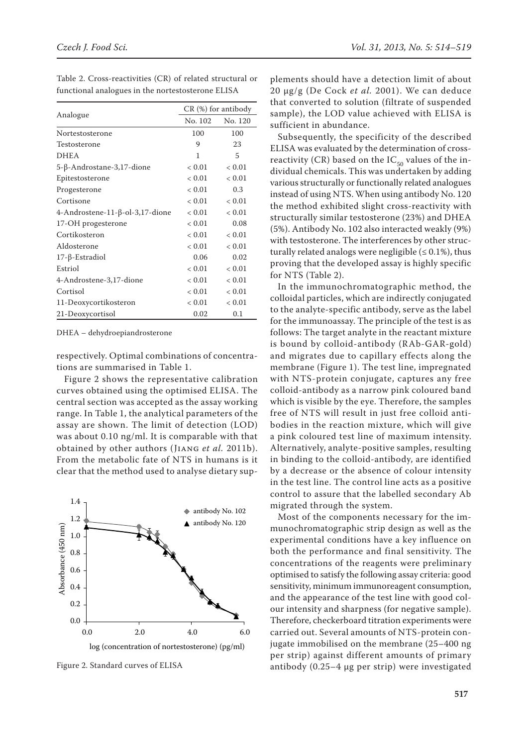|                                 | $CR$ (%) for antibody |            |
|---------------------------------|-----------------------|------------|
| Analogue                        | No. 102               | No. 120    |
| Nortestosterone                 | 100                   | 100        |
| Testosterone                    | 9                     | 23         |
| <b>DHEA</b>                     | 1                     | 5          |
| 5-β-Androstane-3,17-dione       | ${}< 0.01$            | ${}< 0.01$ |
| Epitestosterone                 | ${}< 0.01$            | ${}< 0.01$ |
| Progesterone                    | ${}< 0.01$            | 0.3        |
| Cortisone                       | < 0.01                | ${}< 0.01$ |
| 4-Androstene-11-β-ol-3,17-dione | ${}< 0.01$            | ${}< 0.01$ |
| 17-OH progesterone              | < 0.01                | 0.08       |
| Cortikosteron                   | ${}< 0.01$            | ${}< 0.01$ |
| Aldosterone                     | ${}< 0.01$            | < 0.01     |
| $17$ - $\beta$ -Estradiol       | 0.06                  | 0.02       |
| Estriol                         | ${}< 0.01$            | < 0.01     |
| 4-Androstene-3,17-dione         | ${}< 0.01$            | ${}< 0.01$ |
| Cortisol                        | ${}< 0.01$            | ${}< 0.01$ |
| 11-Deoxycortikosteron           | ${}< 0.01$            | ${}< 0.01$ |
| 21-Deoxycortisol                | 0.02                  | 0.1        |

Table 2. Cross-reactivities (CR) of related structural or functional analogues in the nortestosterone ELISA

DHEA – dehydroepiandrosterone

respectively. Optimal combinations of concentrations are summarised in Table 1.

Figure 2 shows the representative calibration curves obtained using the optimised ELISA. The central section was accepted as the assay working range. In Table 1, the analytical parameters of the assay are shown. The limit of detection (LOD) was about 0.10 ng/ml. It is comparable with that obtained by other authors (Jiang *et al.* 2011b). From the metabolic fate of NTS in humans is it clear that the method used to analyse dietary sup-



Figure 2. Standard curves of ELISA

plements should have a detection limit of about 20 µg/g (De Cock *et al.* 2001). We can deduce that converted to solution (filtrate of suspended sample), the LOD value achieved with ELISA is sufficient in abundance.

Subsequently, the specificity of the described ELISA was evaluated by the determination of crossreactivity (CR) based on the  $IC_{50}$  values of the individual chemicals. This was undertaken by adding various structurally or functionally related analogues instead of using NTS. When using antibody No. 120 the method exhibited slight cross-reactivity with structurally similar testosterone (23%) and DHEA (5%). Antibody No. 102 also interacted weakly (9%) with testosterone. The interferences by other structurally related analogs were negligible ( $\leq 0.1\%$ ), thus proving that the developed assay is highly specific for NTS (Table 2).

In the immunochromatographic method, the colloidal particles, which are indirectly conjugated to the analyte-specific antibody, serve as the label for the immunoassay. The principle of the test is as follows: The target analyte in the reactant mixture is bound by colloid-antibody (RAb-GAR-gold) and migrates due to capillary effects along the membrane (Figure 1). The test line, impregnated with NTS-protein conjugate, captures any free colloid-antibody as a narrow pink coloured band which is visible by the eye. Therefore, the samples free of NTS will result in just free colloid antibodies in the reaction mixture, which will give a pink coloured test line of maximum intensity. Alternatively, analyte-positive samples, resulting in binding to the colloid-antibody, are identified by a decrease or the absence of colour intensity in the test line. The control line acts as a positive control to assure that the labelled secondary Ab migrated through the system.

Most of the components necessary for the immunochromatographic strip design as well as the experimental conditions have a key influence on both the performance and final sensitivity. The concentrations of the reagents were preliminary optimised to satisfy the following assay criteria: good sensitivity, minimum immunoreagent consumption, and the appearance of the test line with good colour intensity and sharpness (for negative sample). Therefore, checkerboard titration experiments were carried out. Several amounts of NTS-protein conjugate immobilised on the membrane (25–400 ng per strip) against different amounts of primary antibody (0.25–4 µg per strip) were investigated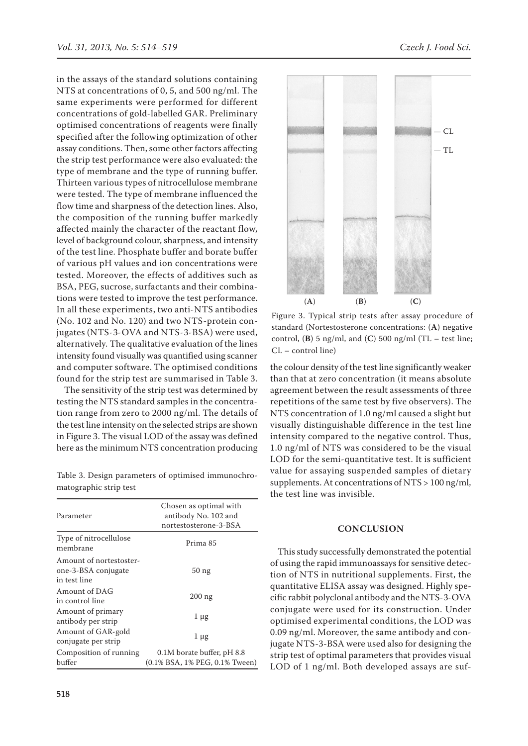in the assays of the standard solutions containing NTS at concentrations of 0, 5, and 500 ng/ml. The same experiments were performed for different concentrations of gold-labelled GAR. Preliminary optimised concentrations of reagents were finally specified after the following optimization of other assay conditions. Then, some other factors affecting the strip test performance were also evaluated: the type of membrane and the type of running buffer. Thirteen various types of nitrocellulose membrane were tested. The type of membrane influenced the flow time and sharpness of the detection lines. Also, the composition of the running buffer markedly affected mainly the character of the reactant flow, level of background colour, sharpness, and intensity of the test line. Phosphate buffer and borate buffer of various pH values and ion concentrations were tested. Moreover, the effects of additives such as BSA, PEG, sucrose, surfactants and their combinations were tested to improve the test performance. In all these experiments, two anti-NTS antibodies (No. 102 and No. 120) and two NTS-protein conjugates (NTS-3-OVA and NTS-3-BSA) were used, alternatively. The qualitative evaluation of the lines intensity found visually was quantified using scanner and computer software. The optimised conditions found for the strip test are summarised in Table 3.

The sensitivity of the strip test was determined by testing the NTS standard samples in the concentration range from zero to 2000 ng/ml. The details of the test line intensity on the selected strips are shown in Figure 3. The visual LOD of the assay was defined here as the minimum NTS concentration producing

Table 3. Design parameters of optimised immunochromatographic strip test

| Parameter                                                      | Chosen as optimal with<br>antibody No. 102 and<br>nortestosterone-3-BSA |  |
|----------------------------------------------------------------|-------------------------------------------------------------------------|--|
| Type of nitrocellulose<br>membrane                             | Prima 85                                                                |  |
| Amount of nortestoster-<br>one-3-BSA conjugate<br>in test line | 50 <sub>ng</sub>                                                        |  |
| Amount of DAG<br>in control line                               | $200$ ng                                                                |  |
| Amount of primary<br>antibody per strip                        | $1 \mu$ g                                                               |  |
| Amount of GAR-gold<br>conjugate per strip                      | $1 \mu$ g                                                               |  |
| Composition of running<br>buffer                               | 0.1M borate buffer, pH 8.8<br>(0.1% BSA, 1% PEG, 0.1% Tween)            |  |



Figure 3. Typical strip tests after assay procedure of standard (Nortestosterone concentrations: (**A**) negative control,  $(\bf{B})$  5 ng/ml, and  $(\bf{C})$  500 ng/ml  $(\bf{TL} - test$  line; CL – control line)

the colour density of the test line significantly weaker than that at zero concentration (it means absolute agreement between the result assessments of three repetitions of the same test by five observers). The NTS concentration of 1.0 ng/ml caused a slight but visually distinguishable difference in the test line intensity compared to the negative control. Thus, 1.0 ng/ml of NTS was considered to be the visual LOD for the semi-quantitative test. It is sufficient value for assaying suspended samples of dietary supplements. At concentrations of NTS > 100 ng/ml, the test line was invisible.

## **CONCLUSION**

This study successfully demonstrated the potential of using the rapid immunoassays for sensitive detection of NTS in nutritional supplements. First, the quantitative ELISA assay was designed. Highly specific rabbit polyclonal antibody and the NTS-3-OVA conjugate were used for its construction. Under optimised experimental conditions, the LOD was 0.09 ng/ml. Moreover, the same antibody and conjugate NTS-3-BSA were used also for designing the strip test of optimal parameters that provides visual LOD of 1 ng/ml. Both developed assays are suf